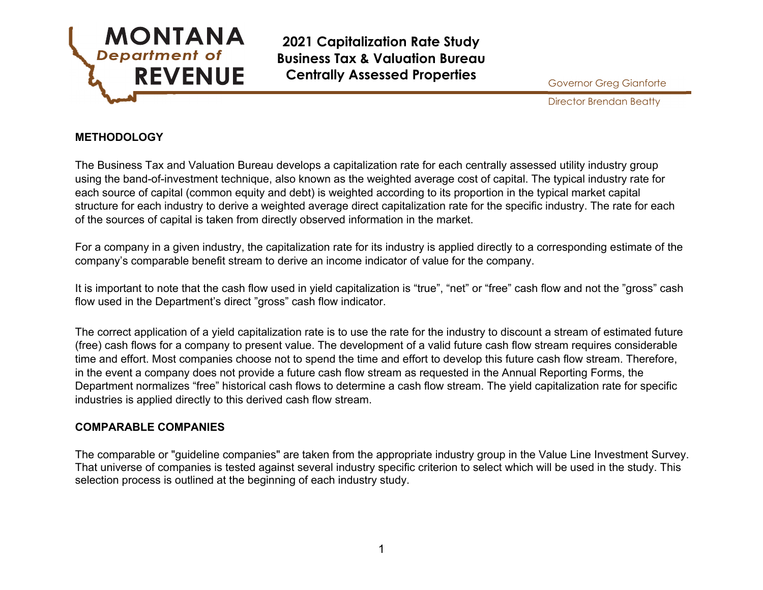

Director Brendan Beatty

### **METHODOLOGY**

The Business Tax and Valuation Bureau develops a capitalization rate for each centrally assessed utility industry group using the band-of-investment technique, also known as the weighted average cost of capital. The typical industry rate for each source of capital (common equity and debt) is weighted according to its proportion in the typical market capital structure for each industry to derive a weighted average direct capitalization rate for the specific industry. The rate for each of the sources of capital is taken from directly observed information in the market.

For a company in a given industry, the capitalization rate for its industry is applied directly to a corresponding estimate of the company's comparable benefit stream to derive an income indicator of value for the company.

It is important to note that the cash flow used in yield capitalization is "true", "net" or "free" cash flow and not the "gross" cash flow used in the Department's direct "gross" cash flow indicator.

The correct application of a yield capitalization rate is to use the rate for the industry to discount a stream of estimated future (free) cash flows for a company to present value. The development of a valid future cash flow stream requires considerable time and effort. Most companies choose not to spend the time and effort to develop this future cash flow stream. Therefore, in the event a company does not provide a future cash flow stream as requested in the Annual Reporting Forms, the Department normalizes "free" historical cash flows to determine a cash flow stream. The yield capitalization rate for specific industries is applied directly to this derived cash flow stream.

### **COMPARABLE COMPANIES**

The comparable or "guideline companies" are taken from the appropriate industry group in the Value Line Investment Survey. That universe of companies is tested against several industry specific criterion to select which will be used in the study. This selection process is outlined at the beginning of each industry study.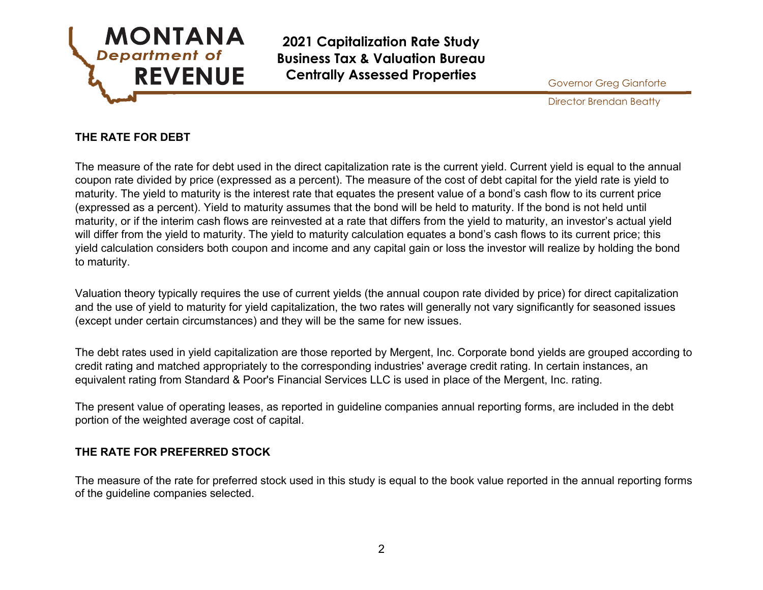

Director Brendan Beatty

# **THE RATE FOR DEBT**

The measure of the rate for debt used in the direct capitalization rate is the current yield. Current yield is equal to the annual coupon rate divided by price (expressed as a percent). The measure of the cost of debt capital for the yield rate is yield to maturity. The yield to maturity is the interest rate that equates the present value of a bond's cash flow to its current price (expressed as a percent). Yield to maturity assumes that the bond will be held to maturity. If the bond is not held until maturity, or if the interim cash flows are reinvested at a rate that differs from the yield to maturity, an investor's actual yield will differ from the yield to maturity. The yield to maturity calculation equates a bond's cash flows to its current price; this yield calculation considers both coupon and income and any capital gain or loss the investor will realize by holding the bond to maturity.

Valuation theory typically requires the use of current yields (the annual coupon rate divided by price) for direct capitalization and the use of yield to maturity for yield capitalization, the two rates will generally not vary significantly for seasoned issues (except under certain circumstances) and they will be the same for new issues.

The debt rates used in yield capitalization are those reported by Mergent, Inc. Corporate bond yields are grouped according to credit rating and matched appropriately to the corresponding industries' average credit rating. In certain instances, an equivalent rating from Standard & Poor's Financial Services LLC is used in place of the Mergent, Inc. rating.

The present value of operating leases, as reported in guideline companies annual reporting forms, are included in the debt portion of the weighted average cost of capital.

### **THE RATE FOR PREFERRED STOCK**

The measure of the rate for preferred stock used in this study is equal to the book value reported in the annual reporting forms of the guideline companies selected.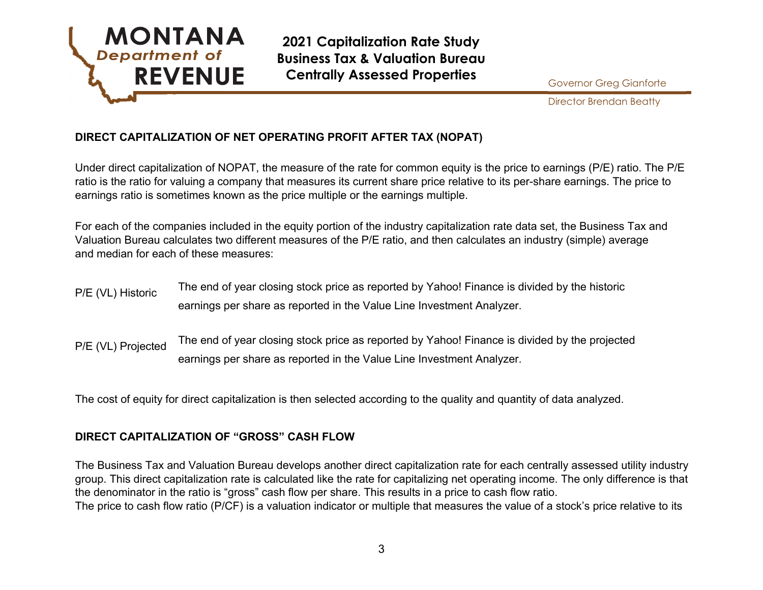

Director Brendan Beatty

# **DIRECT CAPITALIZATION OF NET OPERATING PROFIT AFTER TAX (NOPAT)**

Under direct capitalization of NOPAT, the measure of the rate for common equity is the price to earnings (P/E) ratio. The P/E ratio is the ratio for valuing a company that measures its current share price relative to its per-share earnings. The price to earnings ratio is sometimes known as the price multiple or the earnings multiple.

For each of the companies included in the equity portion of the industry capitalization rate data set, the Business Tax and Valuation Bureau calculates two different measures of the P/E ratio, and then calculates an industry (simple) average and median for each of these measures:

- P/E (VL) Historic The end of year closing stock price as reported by Yahoo! Finance is divided by the historic earnings per share as reported in the Value Line Investment Analyzer.
- P/E (VL) Projected The end of year closing stock price as reported by Yahoo! Finance is divided by the projected earnings per share as reported in the Value Line Investment Analyzer.

The cost of equity for direct capitalization is then selected according to the quality and quantity of data analyzed.

## **DIRECT CAPITALIZATION OF "GROSS" CASH FLOW**

The Business Tax and Valuation Bureau develops another direct capitalization rate for each centrally assessed utility industry group. This direct capitalization rate is calculated like the rate for capitalizing net operating income. The only difference is that the denominator in the ratio is "gross" cash flow per share. This results in a price to cash flow ratio. The price to cash flow ratio (P/CF) is a valuation indicator or multiple that measures the value of a stock's price relative to its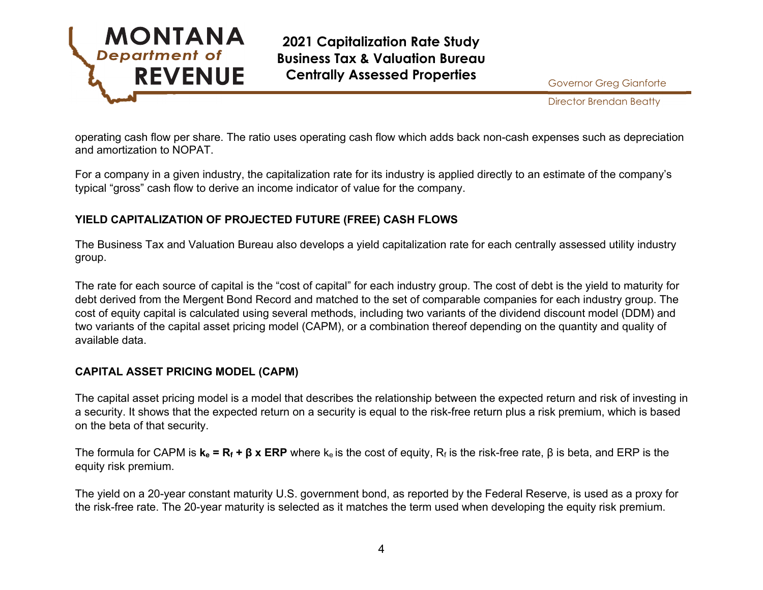

Director Brendan Beatty

operating cash flow per share. The ratio uses operating cash flow which adds back non-cash expenses such as depreciation and amortization to NOPAT.

For a company in a given industry, the capitalization rate for its industry is applied directly to an estimate of the company's typical "gross" cash flow to derive an income indicator of value for the company.

# **YIELD CAPITALIZATION OF PROJECTED FUTURE (FREE) CASH FLOWS**

The Business Tax and Valuation Bureau also develops a yield capitalization rate for each centrally assessed utility industry group.

The rate for each source of capital is the "cost of capital" for each industry group. The cost of debt is the yield to maturity for debt derived from the Mergent Bond Record and matched to the set of comparable companies for each industry group. The cost of equity capital is calculated using several methods, including two variants of the dividend discount model (DDM) and two variants of the capital asset pricing model (CAPM), or a combination thereof depending on the quantity and quality of available data.

## **CAPITAL ASSET PRICING MODEL (CAPM)**

The capital asset pricing model is a model that describes the relationship between the expected return and risk of investing in a security. It shows that the expected return on a security is equal to the risk-free return plus a risk premium, which is based on the beta of that security.

The formula for CAPM is  $\mathbf{k}_e = \mathbf{R}_f + \mathbf{\beta} \times \mathbf{ERP}$  where  $\mathbf{k}_e$  is the cost of equity,  $\mathbf{R}_f$  is the risk-free rate, β is beta, and ERP is the equity risk premium.

The yield on a 20-year constant maturity U.S. government bond, as reported by the Federal Reserve, is used as a proxy for the risk-free rate. The 20-year maturity is selected as it matches the term used when developing the equity risk premium.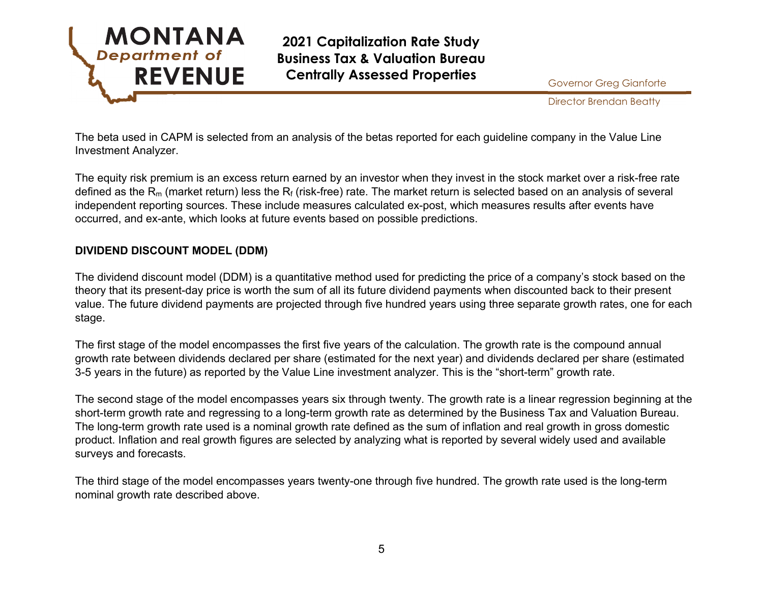

Director Brendan Beatty

The beta used in CAPM is selected from an analysis of the betas reported for each guideline company in the Value Line Investment Analyzer.

The equity risk premium is an excess return earned by an investor when they invest in the stock market over a risk-free rate defined as the R<sub>m</sub> (market return) less the R<sub>f</sub> (risk-free) rate. The market return is selected based on an analysis of several independent reporting sources. These include measures calculated ex-post, which measures results after events have occurred, and ex-ante, which looks at future events based on possible predictions.

# **DIVIDEND DISCOUNT MODEL (DDM)**

The dividend discount model (DDM) is a quantitative method used for predicting the price of a company's stock based on the theory that its present-day price is worth the sum of all its future dividend payments when discounted back to their present value. The future dividend payments are projected through five hundred years using three separate growth rates, one for each stage.

The first stage of the model encompasses the first five years of the calculation. The growth rate is the compound annual growth rate between dividends declared per share (estimated for the next year) and dividends declared per share (estimated 3-5 years in the future) as reported by the Value Line investment analyzer. This is the "short-term" growth rate.

The second stage of the model encompasses years six through twenty. The growth rate is a linear regression beginning at the short-term growth rate and regressing to a long-term growth rate as determined by the Business Tax and Valuation Bureau. The long-term growth rate used is a nominal growth rate defined as the sum of inflation and real growth in gross domestic product. Inflation and real growth figures are selected by analyzing what is reported by several widely used and available surveys and forecasts.

The third stage of the model encompasses years twenty-one through five hundred. The growth rate used is the long-term nominal growth rate described above.